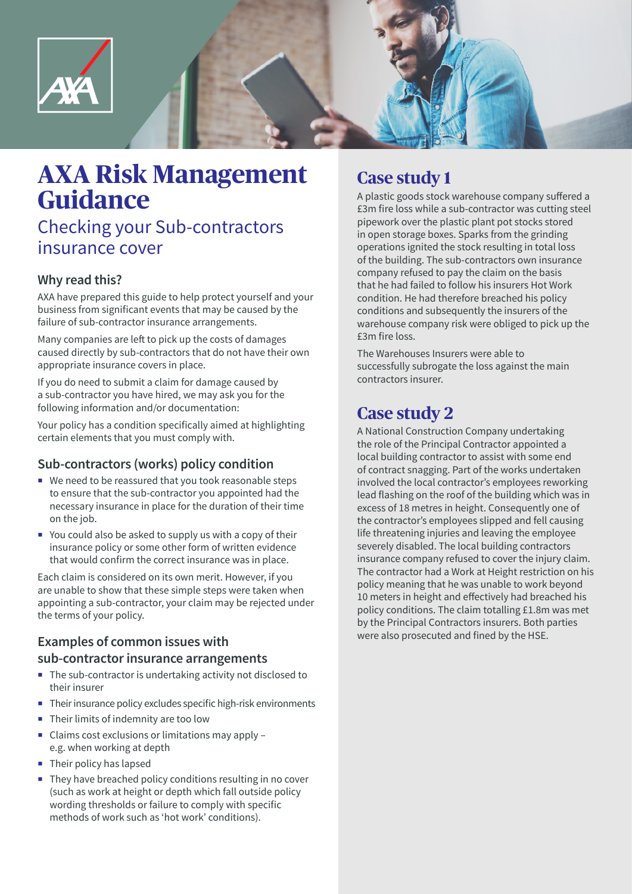

# **AXA Risk Management Guidance**

# Checking your Sub-contractors insurance cover

## **Why read this?**

AXA have prepared this guide to help protect yourself and your business from significant events that may be caused by the failure of sub-contractor insurance arrangements.

Many companies are left to pick up the costs of damages caused directly by sub-contractors that do not have their own appropriate insurance covers in place.

If you do need to submit a claim for damage caused by a sub-contractor you have hired, we may ask you for the following information and/or documentation:

Your policy has a condition specifically aimed at highlighting certain elements that you must comply with.

### **Sub-contractors (works) policy condition**

- We need to be reassured that you took reasonable steps to ensure that the sub-contractor you appointed had the necessary insurance in place for the duration of their time on the job.
- $\blacksquare$  You could also be asked to supply us with a copy of their insurance policy or some other form of written evidence that would confirm the correct insurance was in place.

Each claim is considered on its own merit. However, if you are unable to show that these simple steps were taken when appointing a sub-contractor, your claim may be rejected under the terms of your policy.

# **Examples of common issues with sub-contractor insurance arrangements**

- The sub-contractor is undertaking activity not disclosed to their insurer
- Their insurance policy excludes specific high-risk environments
- Their limits of indemnity are too low
- ¡ Claims cost exclusions or limitations may apply e.g. when working at depth
- **•** Their policy has lapsed
- They have breached policy conditions resulting in no cover (such as work at height or depth which fall outside policy wording thresholds or failure to comply with specific methods of work such as 'hot work' conditions).

# **Case study 1**

A plastic goods stock warehouse company suffered a £3m fire loss while a sub-contractor was cutting steel pipework over the plastic plant pot stocks stored in open storage boxes. Sparks from the grinding operations ignited the stock resulting in total loss of the building. The sub-contractors own insurance company refused to pay the claim on the basis that he had failed to follow his insurers Hot Work condition. He had therefore breached his policy conditions and subsequently the insurers of the warehouse company risk were obliged to pick up the £3m fire loss.

The Warehouses Insurers were able to successfully subrogate the loss against the main contractors insurer.

# **Case study 2**

A National Construction Company undertaking the role of the Principal Contractor appointed a local building contractor to assist with some end of contract snagging. Part of the works undertaken involved the local contractor's employees reworking lead flashing on the roof of the building which was in excess of 18 metres in height. Consequently one of the contractor's employees slipped and fell causing life threatening injuries and leaving the employee severely disabled. The local building contractors insurance company refused to cover the injury claim. The contractor had a Work at Height restriction on his policy meaning that he was unable to work beyond 10 meters in height and effectively had breached his policy conditions. The claim totalling £1.8m was met by the Principal Contractors insurers. Both parties were also prosecuted and fined by the HSE.